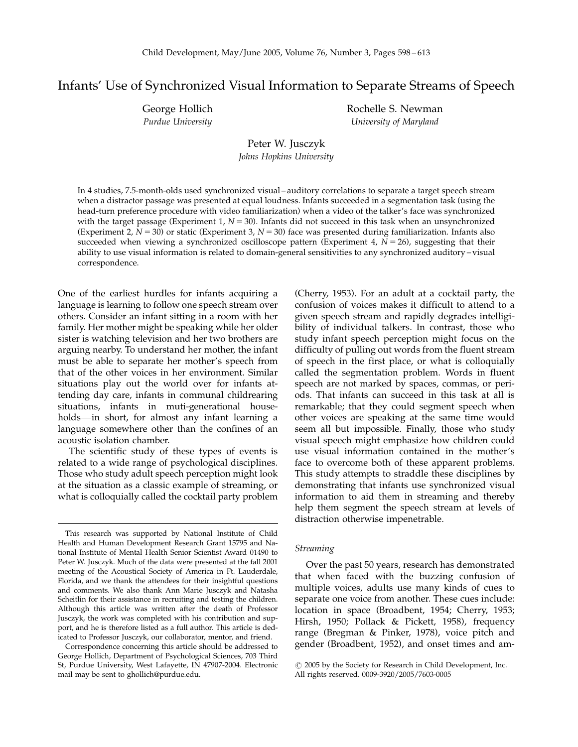# Infants' Use of Synchronized Visual Information to Separate Streams of Speech

George Hollich Purdue University

Rochelle S. Newman University of Maryland

Peter W. Jusczyk Johns Hopkins University

In 4 studies, 7.5-month-olds used synchronized visual – auditory correlations to separate a target speech stream when a distractor passage was presented at equal loudness. Infants succeeded in a segmentation task (using the head-turn preference procedure with video familiarization) when a video of the talker's face was synchronized with the target passage (Experiment 1,  $N = 30$ ). Infants did not succeed in this task when an unsynchronized (Experiment 2,  $N = 30$ ) or static (Experiment 3,  $N = 30$ ) face was presented during familiarization. Infants also succeeded when viewing a synchronized oscilloscope pattern (Experiment 4,  $N = 26$ ), suggesting that their ability to use visual information is related to domain-general sensitivities to any synchronized auditory – visual correspondence.

One of the earliest hurdles for infants acquiring a language is learning to follow one speech stream over others. Consider an infant sitting in a room with her family. Her mother might be speaking while her older sister is watching television and her two brothers are arguing nearby. To understand her mother, the infant must be able to separate her mother's speech from that of the other voices in her environment. Similar situations play out the world over for infants attending day care, infants in communal childrearing situations, infants in muti-generational households—in short, for almost any infant learning a language somewhere other than the confines of an acoustic isolation chamber.

The scientific study of these types of events is related to a wide range of psychological disciplines. Those who study adult speech perception might look at the situation as a classic example of streaming, or what is colloquially called the cocktail party problem

Correspondence concerning this article should be addressed to George Hollich, Department of Psychological Sciences, 703 Third St, Purdue University, West Lafayette, IN 47907-2004. Electronic mail may be sent to ghollich@purdue.edu.

(Cherry, 1953). For an adult at a cocktail party, the confusion of voices makes it difficult to attend to a given speech stream and rapidly degrades intelligibility of individual talkers. In contrast, those who study infant speech perception might focus on the difficulty of pulling out words from the fluent stream of speech in the first place, or what is colloquially called the segmentation problem. Words in fluent speech are not marked by spaces, commas, or periods. That infants can succeed in this task at all is remarkable; that they could segment speech when other voices are speaking at the same time would seem all but impossible. Finally, those who study visual speech might emphasize how children could use visual information contained in the mother's face to overcome both of these apparent problems. This study attempts to straddle these disciplines by demonstrating that infants use synchronized visual information to aid them in streaming and thereby help them segment the speech stream at levels of distraction otherwise impenetrable.

# Streaming

Over the past 50 years, research has demonstrated that when faced with the buzzing confusion of multiple voices, adults use many kinds of cues to separate one voice from another. These cues include: location in space (Broadbent, 1954; Cherry, 1953; Hirsh, 1950; Pollack & Pickett, 1958), frequency range (Bregman & Pinker, 1978), voice pitch and gender (Broadbent, 1952), and onset times and am-

This research was supported by National Institute of Child Health and Human Development Research Grant 15795 and National Institute of Mental Health Senior Scientist Award 01490 to Peter W. Jusczyk. Much of the data were presented at the fall 2001 meeting of the Acoustical Society of America in Ft. Lauderdale, Florida, and we thank the attendees for their insightful questions and comments. We also thank Ann Marie Jusczyk and Natasha Scheitlin for their assistance in recruiting and testing the children. Although this article was written after the death of Professor Jusczyk, the work was completed with his contribution and support, and he is therefore listed as a full author. This article is dedicated to Professor Jusczyk, our collaborator, mentor, and friend.

 $C$  2005 by the Society for Research in Child Development, Inc. All rights reserved. 0009-3920/2005/7603-0005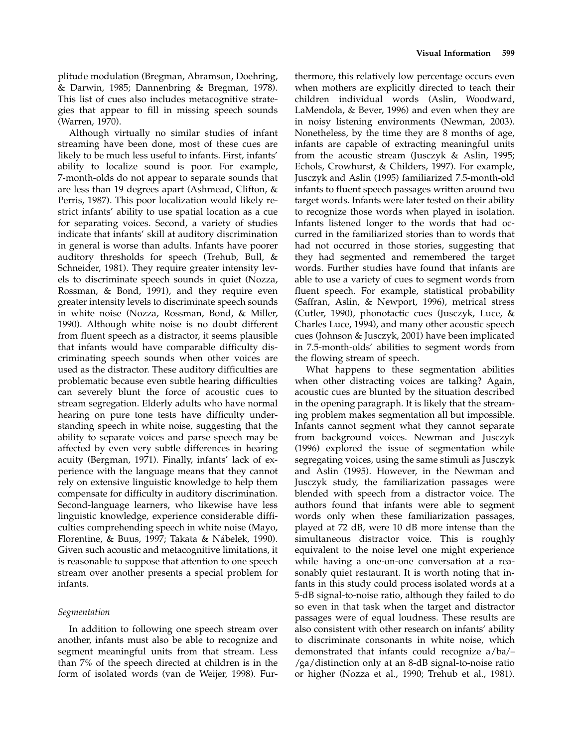plitude modulation (Bregman, Abramson, Doehring, & Darwin, 1985; Dannenbring & Bregman, 1978). This list of cues also includes metacognitive strategies that appear to fill in missing speech sounds (Warren, 1970).

Although virtually no similar studies of infant streaming have been done, most of these cues are likely to be much less useful to infants. First, infants' ability to localize sound is poor. For example, 7-month-olds do not appear to separate sounds that are less than 19 degrees apart (Ashmead, Clifton, & Perris, 1987). This poor localization would likely restrict infants' ability to use spatial location as a cue for separating voices. Second, a variety of studies indicate that infants' skill at auditory discrimination in general is worse than adults. Infants have poorer auditory thresholds for speech (Trehub, Bull, & Schneider, 1981). They require greater intensity levels to discriminate speech sounds in quiet (Nozza, Rossman, & Bond, 1991), and they require even greater intensity levels to discriminate speech sounds in white noise (Nozza, Rossman, Bond, & Miller, 1990). Although white noise is no doubt different from fluent speech as a distractor, it seems plausible that infants would have comparable difficulty discriminating speech sounds when other voices are used as the distractor. These auditory difficulties are problematic because even subtle hearing difficulties can severely blunt the force of acoustic cues to stream segregation. Elderly adults who have normal hearing on pure tone tests have difficulty understanding speech in white noise, suggesting that the ability to separate voices and parse speech may be affected by even very subtle differences in hearing acuity (Bergman, 1971). Finally, infants' lack of experience with the language means that they cannot rely on extensive linguistic knowledge to help them compensate for difficulty in auditory discrimination. Second-language learners, who likewise have less linguistic knowledge, experience considerable difficulties comprehending speech in white noise (Mayo, Florentine, & Buus, 1997; Takata & Nábelek, 1990). Given such acoustic and metacognitive limitations, it is reasonable to suppose that attention to one speech stream over another presents a special problem for infants.

# Segmentation

In addition to following one speech stream over another, infants must also be able to recognize and segment meaningful units from that stream. Less than 7% of the speech directed at children is in the form of isolated words (van de Weijer, 1998). Furthermore, this relatively low percentage occurs even when mothers are explicitly directed to teach their children individual words (Aslin, Woodward, LaMendola, & Bever, 1996) and even when they are in noisy listening environments (Newman, 2003). Nonetheless, by the time they are 8 months of age, infants are capable of extracting meaningful units from the acoustic stream (Jusczyk & Aslin, 1995; Echols, Crowhurst, & Childers, 1997). For example, Jusczyk and Aslin (1995) familiarized 7.5-month-old infants to fluent speech passages written around two target words. Infants were later tested on their ability to recognize those words when played in isolation. Infants listened longer to the words that had occurred in the familiarized stories than to words that had not occurred in those stories, suggesting that they had segmented and remembered the target words. Further studies have found that infants are able to use a variety of cues to segment words from fluent speech. For example, statistical probability (Saffran, Aslin, & Newport, 1996), metrical stress (Cutler, 1990), phonotactic cues (Jusczyk, Luce, & Charles Luce, 1994), and many other acoustic speech cues (Johnson & Jusczyk, 2001) have been implicated in 7.5-month-olds' abilities to segment words from the flowing stream of speech.

What happens to these segmentation abilities when other distracting voices are talking? Again, acoustic cues are blunted by the situation described in the opening paragraph. It is likely that the streaming problem makes segmentation all but impossible. Infants cannot segment what they cannot separate from background voices. Newman and Jusczyk (1996) explored the issue of segmentation while segregating voices, using the same stimuli as Jusczyk and Aslin (1995). However, in the Newman and Jusczyk study, the familiarization passages were blended with speech from a distractor voice. The authors found that infants were able to segment words only when these familiarization passages, played at 72 dB, were 10 dB more intense than the simultaneous distractor voice. This is roughly equivalent to the noise level one might experience while having a one-on-one conversation at a reasonably quiet restaurant. It is worth noting that infants in this study could process isolated words at a 5-dB signal-to-noise ratio, although they failed to do so even in that task when the target and distractor passages were of equal loudness. These results are also consistent with other research on infants' ability to discriminate consonants in white noise, which demonstrated that infants could recognize a/ba/– /ga/distinction only at an 8-dB signal-to-noise ratio or higher (Nozza et al., 1990; Trehub et al., 1981).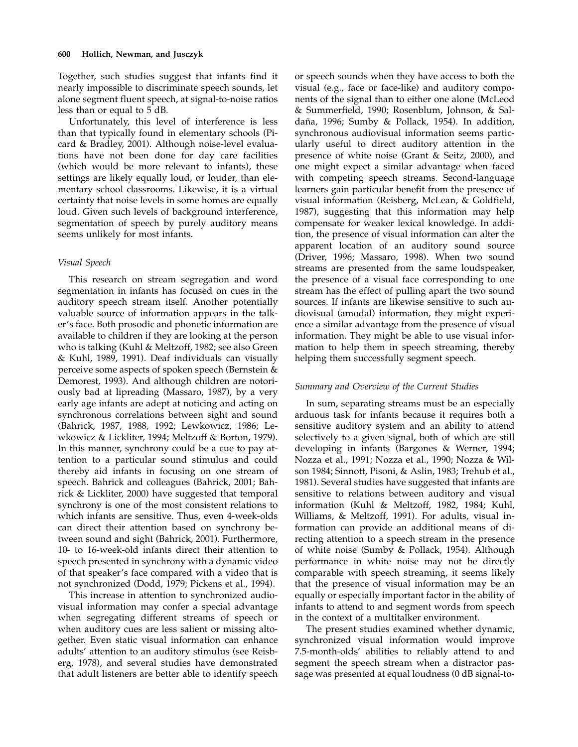Together, such studies suggest that infants find it nearly impossible to discriminate speech sounds, let alone segment fluent speech, at signal-to-noise ratios less than or equal to 5 dB.

Unfortunately, this level of interference is less than that typically found in elementary schools (Picard & Bradley, 2001). Although noise-level evaluations have not been done for day care facilities (which would be more relevant to infants), these settings are likely equally loud, or louder, than elementary school classrooms. Likewise, it is a virtual certainty that noise levels in some homes are equally loud. Given such levels of background interference, segmentation of speech by purely auditory means seems unlikely for most infants.

## Visual Speech

This research on stream segregation and word segmentation in infants has focused on cues in the auditory speech stream itself. Another potentially valuable source of information appears in the talker's face. Both prosodic and phonetic information are available to children if they are looking at the person who is talking (Kuhl & Meltzoff, 1982; see also Green & Kuhl, 1989, 1991). Deaf individuals can visually perceive some aspects of spoken speech (Bernstein & Demorest, 1993). And although children are notoriously bad at lipreading (Massaro, 1987), by a very early age infants are adept at noticing and acting on synchronous correlations between sight and sound (Bahrick, 1987, 1988, 1992; Lewkowicz, 1986; Lewkowicz & Lickliter, 1994; Meltzoff & Borton, 1979). In this manner, synchrony could be a cue to pay attention to a particular sound stimulus and could thereby aid infants in focusing on one stream of speech. Bahrick and colleagues (Bahrick, 2001; Bahrick & Lickliter, 2000) have suggested that temporal synchrony is one of the most consistent relations to which infants are sensitive. Thus, even 4-week-olds can direct their attention based on synchrony between sound and sight (Bahrick, 2001). Furthermore, 10- to 16-week-old infants direct their attention to speech presented in synchrony with a dynamic video of that speaker's face compared with a video that is not synchronized (Dodd, 1979; Pickens et al., 1994).

This increase in attention to synchronized audiovisual information may confer a special advantage when segregating different streams of speech or when auditory cues are less salient or missing altogether. Even static visual information can enhance adults' attention to an auditory stimulus (see Reisberg, 1978), and several studies have demonstrated that adult listeners are better able to identify speech or speech sounds when they have access to both the visual (e.g., face or face-like) and auditory components of the signal than to either one alone (McLeod & Summerfield, 1990; Rosenblum, Johnson, & Saldaña, 1996; Sumby & Pollack, 1954). In addition, synchronous audiovisual information seems particularly useful to direct auditory attention in the presence of white noise (Grant & Seitz, 2000), and one might expect a similar advantage when faced with competing speech streams. Second-language learners gain particular benefit from the presence of visual information (Reisberg, McLean, & Goldfield, 1987), suggesting that this information may help compensate for weaker lexical knowledge. In addition, the presence of visual information can alter the apparent location of an auditory sound source (Driver, 1996; Massaro, 1998). When two sound streams are presented from the same loudspeaker, the presence of a visual face corresponding to one stream has the effect of pulling apart the two sound sources. If infants are likewise sensitive to such audiovisual (amodal) information, they might experience a similar advantage from the presence of visual information. They might be able to use visual information to help them in speech streaming, thereby helping them successfully segment speech.

## Summary and Overview of the Current Studies

In sum, separating streams must be an especially arduous task for infants because it requires both a sensitive auditory system and an ability to attend selectively to a given signal, both of which are still developing in infants (Bargones & Werner, 1994; Nozza et al., 1991; Nozza et al., 1990; Nozza & Wilson 1984; Sinnott, Pisoni, & Aslin, 1983; Trehub et al., 1981). Several studies have suggested that infants are sensitive to relations between auditory and visual information (Kuhl & Meltzoff, 1982, 1984; Kuhl, Williams, & Meltzoff, 1991). For adults, visual information can provide an additional means of directing attention to a speech stream in the presence of white noise (Sumby & Pollack, 1954). Although performance in white noise may not be directly comparable with speech streaming, it seems likely that the presence of visual information may be an equally or especially important factor in the ability of infants to attend to and segment words from speech in the context of a multitalker environment.

The present studies examined whether dynamic, synchronized visual information would improve 7.5-month-olds' abilities to reliably attend to and segment the speech stream when a distractor passage was presented at equal loudness (0 dB signal-to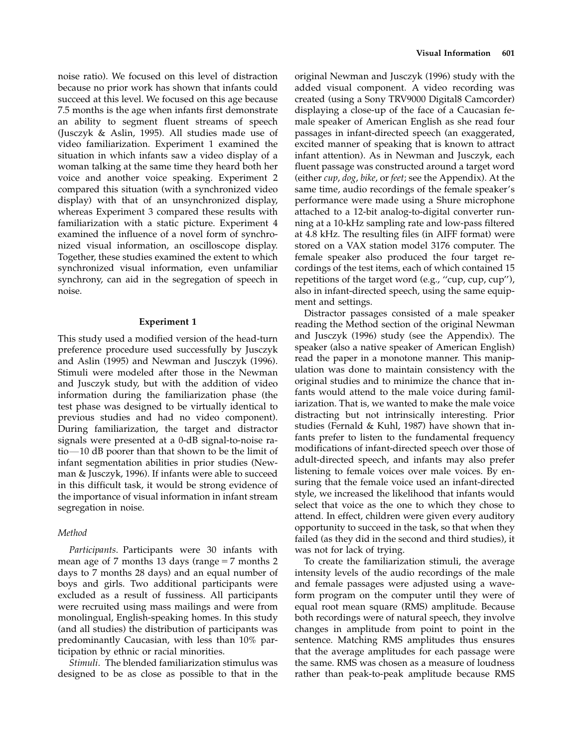noise ratio). We focused on this level of distraction because no prior work has shown that infants could succeed at this level. We focused on this age because 7.5 months is the age when infants first demonstrate an ability to segment fluent streams of speech (Jusczyk & Aslin, 1995). All studies made use of video familiarization. Experiment 1 examined the situation in which infants saw a video display of a woman talking at the same time they heard both her voice and another voice speaking. Experiment 2 compared this situation (with a synchronized video display) with that of an unsynchronized display, whereas Experiment 3 compared these results with familiarization with a static picture. Experiment 4 examined the influence of a novel form of synchronized visual information, an oscilloscope display. Together, these studies examined the extent to which synchronized visual information, even unfamiliar synchrony, can aid in the segregation of speech in noise.

# Experiment 1

This study used a modified version of the head-turn preference procedure used successfully by Jusczyk and Aslin (1995) and Newman and Jusczyk (1996). Stimuli were modeled after those in the Newman and Jusczyk study, but with the addition of video information during the familiarization phase (the test phase was designed to be virtually identical to previous studies and had no video component). During familiarization, the target and distractor signals were presented at a 0-dB signal-to-noise ra $tio$ —10 dB poorer than that shown to be the limit of infant segmentation abilities in prior studies (Newman & Jusczyk, 1996). If infants were able to succeed in this difficult task, it would be strong evidence of the importance of visual information in infant stream segregation in noise.

## Method

Participants. Participants were 30 infants with mean age of 7 months 13 days (range  $= 7$  months 2 days to 7 months 28 days) and an equal number of boys and girls. Two additional participants were excluded as a result of fussiness. All participants were recruited using mass mailings and were from monolingual, English-speaking homes. In this study (and all studies) the distribution of participants was predominantly Caucasian, with less than 10% participation by ethnic or racial minorities.

Stimuli. The blended familiarization stimulus was designed to be as close as possible to that in the original Newman and Jusczyk (1996) study with the added visual component. A video recording was created (using a Sony TRV9000 Digital8 Camcorder) displaying a close-up of the face of a Caucasian female speaker of American English as she read four passages in infant-directed speech (an exaggerated, excited manner of speaking that is known to attract infant attention). As in Newman and Jusczyk, each fluent passage was constructed around a target word (either cup, dog, bike, or feet; see the Appendix). At the same time, audio recordings of the female speaker's performance were made using a Shure microphone attached to a 12-bit analog-to-digital converter running at a 10-kHz sampling rate and low-pass filtered at 4.8 kHz. The resulting files (in AIFF format) were stored on a VAX station model 3176 computer. The female speaker also produced the four target recordings of the test items, each of which contained 15 repetitions of the target word (e.g., ''cup, cup, cup''), also in infant-directed speech, using the same equipment and settings.

Distractor passages consisted of a male speaker reading the Method section of the original Newman and Jusczyk (1996) study (see the Appendix). The speaker (also a native speaker of American English) read the paper in a monotone manner. This manipulation was done to maintain consistency with the original studies and to minimize the chance that infants would attend to the male voice during familiarization. That is, we wanted to make the male voice distracting but not intrinsically interesting. Prior studies (Fernald & Kuhl, 1987) have shown that infants prefer to listen to the fundamental frequency modifications of infant-directed speech over those of adult-directed speech, and infants may also prefer listening to female voices over male voices. By ensuring that the female voice used an infant-directed style, we increased the likelihood that infants would select that voice as the one to which they chose to attend. In effect, children were given every auditory opportunity to succeed in the task, so that when they failed (as they did in the second and third studies), it was not for lack of trying.

To create the familiarization stimuli, the average intensity levels of the audio recordings of the male and female passages were adjusted using a waveform program on the computer until they were of equal root mean square (RMS) amplitude. Because both recordings were of natural speech, they involve changes in amplitude from point to point in the sentence. Matching RMS amplitudes thus ensures that the average amplitudes for each passage were the same. RMS was chosen as a measure of loudness rather than peak-to-peak amplitude because RMS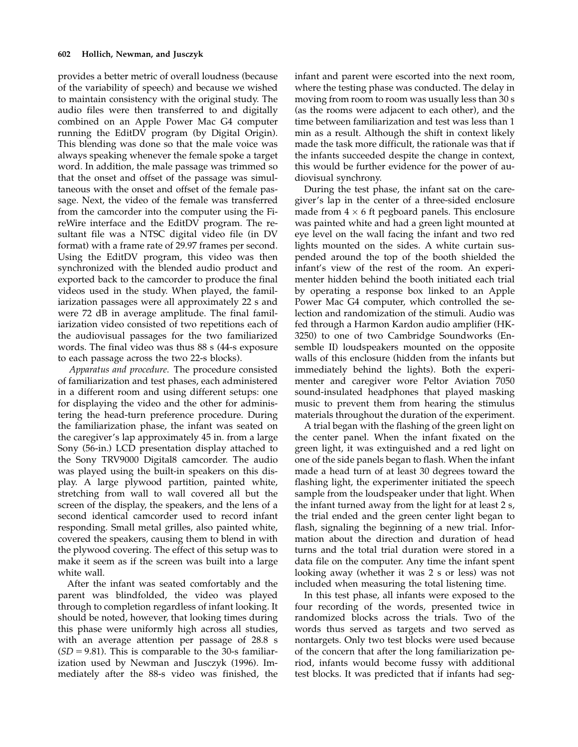provides a better metric of overall loudness (because of the variability of speech) and because we wished to maintain consistency with the original study. The audio files were then transferred to and digitally combined on an Apple Power Mac G4 computer running the EditDV program (by Digital Origin). This blending was done so that the male voice was always speaking whenever the female spoke a target word. In addition, the male passage was trimmed so that the onset and offset of the passage was simultaneous with the onset and offset of the female passage. Next, the video of the female was transferred from the camcorder into the computer using the FireWire interface and the EditDV program. The resultant file was a NTSC digital video file (in DV format) with a frame rate of 29.97 frames per second. Using the EditDV program, this video was then synchronized with the blended audio product and exported back to the camcorder to produce the final videos used in the study. When played, the familiarization passages were all approximately 22 s and were 72 dB in average amplitude. The final familiarization video consisted of two repetitions each of the audiovisual passages for the two familiarized words. The final video was thus 88 s (44-s exposure to each passage across the two 22-s blocks).

Apparatus and procedure. The procedure consisted of familiarization and test phases, each administered in a different room and using different setups: one for displaying the video and the other for administering the head-turn preference procedure. During the familiarization phase, the infant was seated on the caregiver's lap approximately 45 in. from a large Sony (56-in.) LCD presentation display attached to the Sony TRV9000 Digital8 camcorder. The audio was played using the built-in speakers on this display. A large plywood partition, painted white, stretching from wall to wall covered all but the screen of the display, the speakers, and the lens of a second identical camcorder used to record infant responding. Small metal grilles, also painted white, covered the speakers, causing them to blend in with the plywood covering. The effect of this setup was to make it seem as if the screen was built into a large white wall.

After the infant was seated comfortably and the parent was blindfolded, the video was played through to completion regardless of infant looking. It should be noted, however, that looking times during this phase were uniformly high across all studies, with an average attention per passage of 28.8 s  $(SD = 9.81)$ . This is comparable to the 30-s familiarization used by Newman and Jusczyk (1996). Immediately after the 88-s video was finished, the

infant and parent were escorted into the next room, where the testing phase was conducted. The delay in moving from room to room was usually less than 30 s (as the rooms were adjacent to each other), and the time between familiarization and test was less than 1 min as a result. Although the shift in context likely made the task more difficult, the rationale was that if the infants succeeded despite the change in context, this would be further evidence for the power of audiovisual synchrony.

During the test phase, the infant sat on the caregiver's lap in the center of a three-sided enclosure made from  $4 \times 6$  ft pegboard panels. This enclosure was painted white and had a green light mounted at eye level on the wall facing the infant and two red lights mounted on the sides. A white curtain suspended around the top of the booth shielded the infant's view of the rest of the room. An experimenter hidden behind the booth initiated each trial by operating a response box linked to an Apple Power Mac G4 computer, which controlled the selection and randomization of the stimuli. Audio was fed through a Harmon Kardon audio amplifier (HK-3250) to one of two Cambridge Soundworks (Ensemble II) loudspeakers mounted on the opposite walls of this enclosure (hidden from the infants but immediately behind the lights). Both the experimenter and caregiver wore Peltor Aviation 7050 sound-insulated headphones that played masking music to prevent them from hearing the stimulus materials throughout the duration of the experiment.

A trial began with the flashing of the green light on the center panel. When the infant fixated on the green light, it was extinguished and a red light on one of the side panels began to flash. When the infant made a head turn of at least 30 degrees toward the flashing light, the experimenter initiated the speech sample from the loudspeaker under that light. When the infant turned away from the light for at least 2 s, the trial ended and the green center light began to flash, signaling the beginning of a new trial. Information about the direction and duration of head turns and the total trial duration were stored in a data file on the computer. Any time the infant spent looking away (whether it was 2 s or less) was not included when measuring the total listening time.

In this test phase, all infants were exposed to the four recording of the words, presented twice in randomized blocks across the trials. Two of the words thus served as targets and two served as nontargets. Only two test blocks were used because of the concern that after the long familiarization period, infants would become fussy with additional test blocks. It was predicted that if infants had seg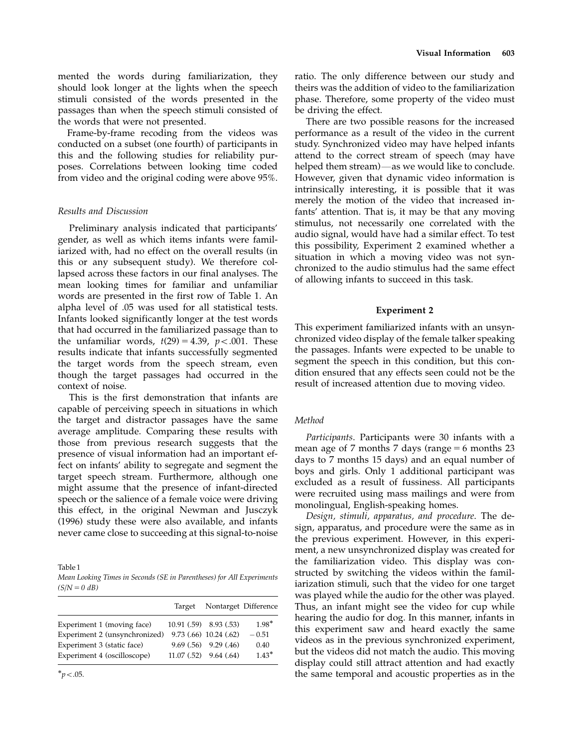mented the words during familiarization, they should look longer at the lights when the speech stimuli consisted of the words presented in the passages than when the speech stimuli consisted of the words that were not presented.

Frame-by-frame recoding from the videos was conducted on a subset (one fourth) of participants in this and the following studies for reliability purposes. Correlations between looking time coded from video and the original coding were above 95%.

## Results and Discussion

Preliminary analysis indicated that participants' gender, as well as which items infants were familiarized with, had no effect on the overall results (in this or any subsequent study). We therefore collapsed across these factors in our final analyses. The mean looking times for familiar and unfamiliar words are presented in the first row of Table 1. An alpha level of .05 was used for all statistical tests. Infants looked significantly longer at the test words that had occurred in the familiarized passage than to the unfamiliar words,  $t(29) = 4.39$ ,  $p < .001$ . These results indicate that infants successfully segmented the target words from the speech stream, even though the target passages had occurred in the context of noise.

This is the first demonstration that infants are capable of perceiving speech in situations in which the target and distractor passages have the same average amplitude. Comparing these results with those from previous research suggests that the presence of visual information had an important effect on infants' ability to segregate and segment the target speech stream. Furthermore, although one might assume that the presence of infant-directed speech or the salience of a female voice were driving this effect, in the original Newman and Jusczyk (1996) study these were also available, and infants never came close to succeeding at this signal-to-noise

Table 1

Mean Looking Times in Seconds (SE in Parentheses) for All Experiments  $(S/N = 0$  dB)

|                               | Target |                          | Nontarget Difference |
|-------------------------------|--------|--------------------------|----------------------|
| Experiment 1 (moving face)    |        | 10.91 (.59) 8.93 (.53)   | $1.98*$              |
| Experiment 2 (unsynchronized) |        | 9.73 (.66) 10.24 (.62)   | $-0.51$              |
| Experiment 3 (static face)    |        | $9.69(.56)$ $9.29(.46)$  | 0.40                 |
| Experiment 4 (oscilloscope)   |        | $11.07(.52)$ $9.64(.64)$ | $1.43*$              |

 $*_{p<.05}$ .

ratio. The only difference between our study and theirs was the addition of video to the familiarization phase. Therefore, some property of the video must be driving the effect.

There are two possible reasons for the increased performance as a result of the video in the current study. Synchronized video may have helped infants attend to the correct stream of speech (may have helped them stream)—as we would like to conclude. However, given that dynamic video information is intrinsically interesting, it is possible that it was merely the motion of the video that increased infants' attention. That is, it may be that any moving stimulus, not necessarily one correlated with the audio signal, would have had a similar effect. To test this possibility, Experiment 2 examined whether a situation in which a moving video was not synchronized to the audio stimulus had the same effect of allowing infants to succeed in this task.

## Experiment 2

This experiment familiarized infants with an unsynchronized video display of the female talker speaking the passages. Infants were expected to be unable to segment the speech in this condition, but this condition ensured that any effects seen could not be the result of increased attention due to moving video.

# Method

Participants. Participants were 30 infants with a mean age of 7 months 7 days (range  $= 6$  months 23 days to 7 months 15 days) and an equal number of boys and girls. Only 1 additional participant was excluded as a result of fussiness. All participants were recruited using mass mailings and were from monolingual, English-speaking homes.

Design, stimuli, apparatus, and procedure. The design, apparatus, and procedure were the same as in the previous experiment. However, in this experiment, a new unsynchronized display was created for the familiarization video. This display was constructed by switching the videos within the familiarization stimuli, such that the video for one target was played while the audio for the other was played. Thus, an infant might see the video for cup while hearing the audio for dog. In this manner, infants in this experiment saw and heard exactly the same videos as in the previous synchronized experiment, but the videos did not match the audio. This moving display could still attract attention and had exactly the same temporal and acoustic properties as in the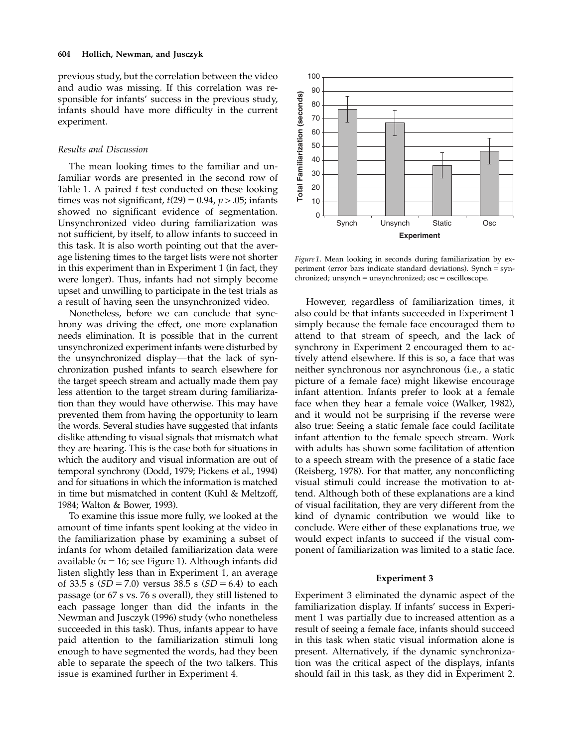previous study, but the correlation between the video and audio was missing. If this correlation was responsible for infants' success in the previous study, infants should have more difficulty in the current experiment.

#### Results and Discussion

The mean looking times to the familiar and unfamiliar words are presented in the second row of Table 1. A paired  $t$  test conducted on these looking times was not significant,  $t(29) = 0.94$ ,  $p > .05$ ; infants showed no significant evidence of segmentation. Unsynchronized video during familiarization was not sufficient, by itself, to allow infants to succeed in this task. It is also worth pointing out that the average listening times to the target lists were not shorter in this experiment than in Experiment 1 (in fact, they were longer). Thus, infants had not simply become upset and unwilling to participate in the test trials as a result of having seen the unsynchronized video.

Nonetheless, before we can conclude that synchrony was driving the effect, one more explanation needs elimination. It is possible that in the current unsynchronized experiment infants were disturbed by the unsynchronized display—that the lack of synchronization pushed infants to search elsewhere for the target speech stream and actually made them pay less attention to the target stream during familiarization than they would have otherwise. This may have prevented them from having the opportunity to learn the words. Several studies have suggested that infants dislike attending to visual signals that mismatch what they are hearing. This is the case both for situations in which the auditory and visual information are out of temporal synchrony (Dodd, 1979; Pickens et al., 1994) and for situations in which the information is matched in time but mismatched in content (Kuhl & Meltzoff, 1984; Walton & Bower, 1993).

To examine this issue more fully, we looked at the amount of time infants spent looking at the video in the familiarization phase by examining a subset of infants for whom detailed familiarization data were available ( $n = 16$ ; see Figure 1). Although infants did listen slightly less than in Experiment 1, an average of 33.5 s  $(SD = 7.0)$  versus 38.5 s  $(SD = 6.4)$  to each passage (or 67 s vs. 76 s overall), they still listened to each passage longer than did the infants in the Newman and Jusczyk (1996) study (who nonetheless succeeded in this task). Thus, infants appear to have paid attention to the familiarization stimuli long enough to have segmented the words, had they been able to separate the speech of the two talkers. This issue is examined further in Experiment 4.



Figure 1. Mean looking in seconds during familiarization by experiment (error bars indicate standard deviations). Synch  $=$  synchronized; unsynch = unsynchronized; osc = oscilloscope.

However, regardless of familiarization times, it also could be that infants succeeded in Experiment 1 simply because the female face encouraged them to attend to that stream of speech, and the lack of synchrony in Experiment 2 encouraged them to actively attend elsewhere. If this is so, a face that was neither synchronous nor asynchronous (i.e., a static picture of a female face) might likewise encourage infant attention. Infants prefer to look at a female face when they hear a female voice (Walker, 1982), and it would not be surprising if the reverse were also true: Seeing a static female face could facilitate infant attention to the female speech stream. Work with adults has shown some facilitation of attention to a speech stream with the presence of a static face (Reisberg, 1978). For that matter, any nonconflicting visual stimuli could increase the motivation to attend. Although both of these explanations are a kind of visual facilitation, they are very different from the kind of dynamic contribution we would like to conclude. Were either of these explanations true, we would expect infants to succeed if the visual component of familiarization was limited to a static face.

#### Experiment 3

Experiment 3 eliminated the dynamic aspect of the familiarization display. If infants' success in Experiment 1 was partially due to increased attention as a result of seeing a female face, infants should succeed in this task when static visual information alone is present. Alternatively, if the dynamic synchronization was the critical aspect of the displays, infants should fail in this task, as they did in Experiment 2.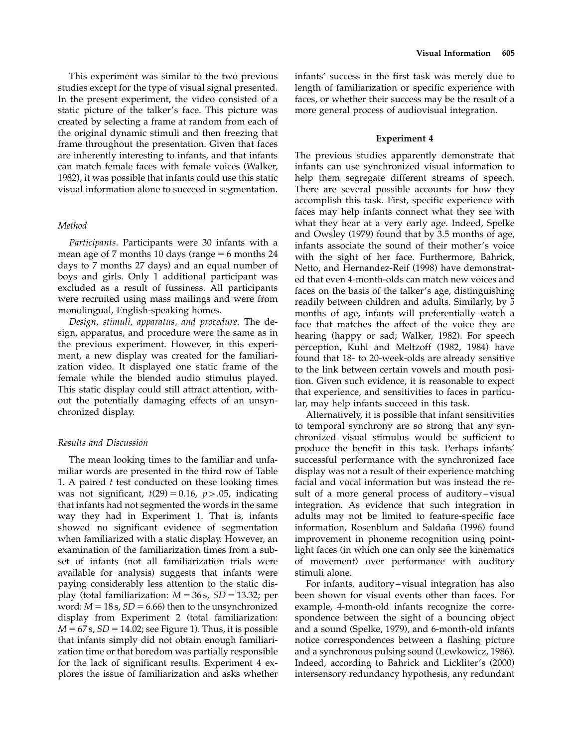This experiment was similar to the two previous studies except for the type of visual signal presented. In the present experiment, the video consisted of a static picture of the talker's face. This picture was created by selecting a frame at random from each of the original dynamic stimuli and then freezing that frame throughout the presentation. Given that faces are inherently interesting to infants, and that infants can match female faces with female voices (Walker, 1982), it was possible that infants could use this static visual information alone to succeed in segmentation.

#### Method

Participants. Participants were 30 infants with a mean age of 7 months 10 days (range  $= 6$  months 24 days to 7 months 27 days) and an equal number of boys and girls. Only 1 additional participant was excluded as a result of fussiness. All participants were recruited using mass mailings and were from monolingual, English-speaking homes.

Design, stimuli, apparatus, and procedure. The design, apparatus, and procedure were the same as in the previous experiment. However, in this experiment, a new display was created for the familiarization video. It displayed one static frame of the female while the blended audio stimulus played. This static display could still attract attention, without the potentially damaging effects of an unsynchronized display.

## Results and Discussion

The mean looking times to the familiar and unfamiliar words are presented in the third row of Table 1. A paired  $t$  test conducted on these looking times was not significant,  $t(29) = 0.16$ ,  $p > .05$ , indicating that infants had not segmented the words in the same way they had in Experiment 1. That is, infants showed no significant evidence of segmentation when familiarized with a static display. However, an examination of the familiarization times from a subset of infants (not all familiarization trials were available for analysis) suggests that infants were paying considerably less attention to the static display (total familiarization:  $M = 36$  s,  $SD = 13.32$ ; per word:  $M = 18$  s,  $SD = 6.66$ ) then to the unsynchronized display from Experiment 2 (total familiarization:  $M = 67$  s,  $SD = 14.02$ ; see Figure 1). Thus, it is possible that infants simply did not obtain enough familiarization time or that boredom was partially responsible for the lack of significant results. Experiment 4 explores the issue of familiarization and asks whether

infants' success in the first task was merely due to length of familiarization or specific experience with faces, or whether their success may be the result of a more general process of audiovisual integration.

## Experiment 4

The previous studies apparently demonstrate that infants can use synchronized visual information to help them segregate different streams of speech. There are several possible accounts for how they accomplish this task. First, specific experience with faces may help infants connect what they see with what they hear at a very early age. Indeed, Spelke and Owsley (1979) found that by 3.5 months of age, infants associate the sound of their mother's voice with the sight of her face. Furthermore, Bahrick, Netto, and Hernandez-Reif (1998) have demonstrated that even 4-month-olds can match new voices and faces on the basis of the talker's age, distinguishing readily between children and adults. Similarly, by 5 months of age, infants will preferentially watch a face that matches the affect of the voice they are hearing (happy or sad; Walker, 1982). For speech perception, Kuhl and Meltzoff (1982, 1984) have found that 18- to 20-week-olds are already sensitive to the link between certain vowels and mouth position. Given such evidence, it is reasonable to expect that experience, and sensitivities to faces in particular, may help infants succeed in this task.

Alternatively, it is possible that infant sensitivities to temporal synchrony are so strong that any synchronized visual stimulus would be sufficient to produce the benefit in this task. Perhaps infants' successful performance with the synchronized face display was not a result of their experience matching facial and vocal information but was instead the result of a more general process of auditory – visual integration. As evidence that such integration in adults may not be limited to feature-specific face information, Rosenblum and Saldaña (1996) found improvement in phoneme recognition using pointlight faces (in which one can only see the kinematics of movement) over performance with auditory stimuli alone.

For infants, auditory – visual integration has also been shown for visual events other than faces. For example, 4-month-old infants recognize the correspondence between the sight of a bouncing object and a sound (Spelke, 1979), and 6-month-old infants notice correspondences between a flashing picture and a synchronous pulsing sound (Lewkowicz, 1986). Indeed, according to Bahrick and Lickliter's (2000) intersensory redundancy hypothesis, any redundant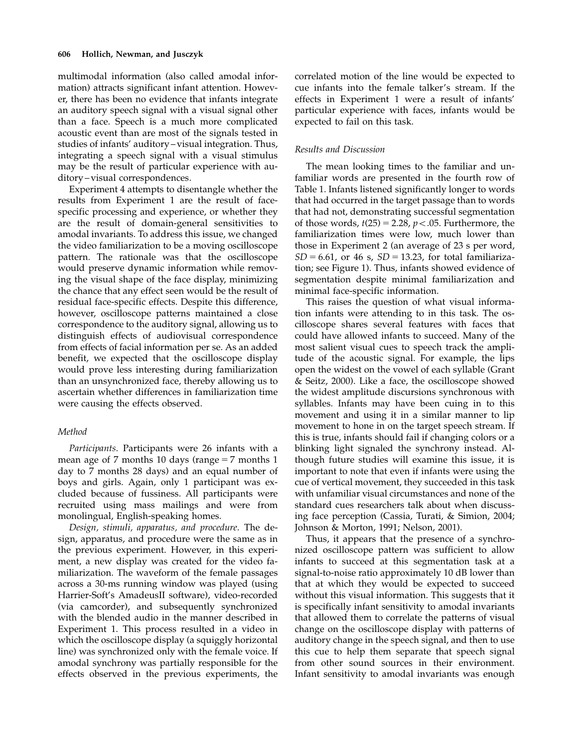multimodal information (also called amodal information) attracts significant infant attention. However, there has been no evidence that infants integrate an auditory speech signal with a visual signal other than a face. Speech is a much more complicated acoustic event than are most of the signals tested in studies of infants' auditory – visual integration. Thus, integrating a speech signal with a visual stimulus may be the result of particular experience with auditory – visual correspondences.

Experiment 4 attempts to disentangle whether the results from Experiment 1 are the result of facespecific processing and experience, or whether they are the result of domain-general sensitivities to amodal invariants. To address this issue, we changed the video familiarization to be a moving oscilloscope pattern. The rationale was that the oscilloscope would preserve dynamic information while removing the visual shape of the face display, minimizing the chance that any effect seen would be the result of residual face-specific effects. Despite this difference, however, oscilloscope patterns maintained a close correspondence to the auditory signal, allowing us to distinguish effects of audiovisual correspondence from effects of facial information per se. As an added benefit, we expected that the oscilloscope display would prove less interesting during familiarization than an unsynchronized face, thereby allowing us to ascertain whether differences in familiarization time were causing the effects observed.

#### Method

Participants. Participants were 26 infants with a mean age of 7 months 10 days (range  $= 7$  months 1 day to 7 months 28 days) and an equal number of boys and girls. Again, only 1 participant was excluded because of fussiness. All participants were recruited using mass mailings and were from monolingual, English-speaking homes.

Design, stimuli, apparatus, and procedure. The design, apparatus, and procedure were the same as in the previous experiment. However, in this experiment, a new display was created for the video familiarization. The waveform of the female passages across a 30-ms running window was played (using Harrier-Soft's AmadeusII software), video-recorded (via camcorder), and subsequently synchronized with the blended audio in the manner described in Experiment 1. This process resulted in a video in which the oscilloscope display (a squiggly horizontal line) was synchronized only with the female voice. If amodal synchrony was partially responsible for the effects observed in the previous experiments, the

correlated motion of the line would be expected to cue infants into the female talker's stream. If the effects in Experiment 1 were a result of infants' particular experience with faces, infants would be expected to fail on this task.

## Results and Discussion

The mean looking times to the familiar and unfamiliar words are presented in the fourth row of Table 1. Infants listened significantly longer to words that had occurred in the target passage than to words that had not, demonstrating successful segmentation of those words,  $t(25) = 2.28$ ,  $p < .05$ . Furthermore, the familiarization times were low, much lower than those in Experiment 2 (an average of 23 s per word,  $SD = 6.61$ , or 46 s,  $SD = 13.23$ , for total familiarization; see Figure 1). Thus, infants showed evidence of segmentation despite minimal familiarization and minimal face-specific information.

This raises the question of what visual information infants were attending to in this task. The oscilloscope shares several features with faces that could have allowed infants to succeed. Many of the most salient visual cues to speech track the amplitude of the acoustic signal. For example, the lips open the widest on the vowel of each syllable (Grant & Seitz, 2000). Like a face, the oscilloscope showed the widest amplitude discursions synchronous with syllables. Infants may have been cuing in to this movement and using it in a similar manner to lip movement to hone in on the target speech stream. If this is true, infants should fail if changing colors or a blinking light signaled the synchrony instead. Although future studies will examine this issue, it is important to note that even if infants were using the cue of vertical movement, they succeeded in this task with unfamiliar visual circumstances and none of the standard cues researchers talk about when discussing face perception (Cassia, Turati, & Simion, 2004; Johnson & Morton, 1991; Nelson, 2001).

Thus, it appears that the presence of a synchronized oscilloscope pattern was sufficient to allow infants to succeed at this segmentation task at a signal-to-noise ratio approximately 10 dB lower than that at which they would be expected to succeed without this visual information. This suggests that it is specifically infant sensitivity to amodal invariants that allowed them to correlate the patterns of visual change on the oscilloscope display with patterns of auditory change in the speech signal, and then to use this cue to help them separate that speech signal from other sound sources in their environment. Infant sensitivity to amodal invariants was enough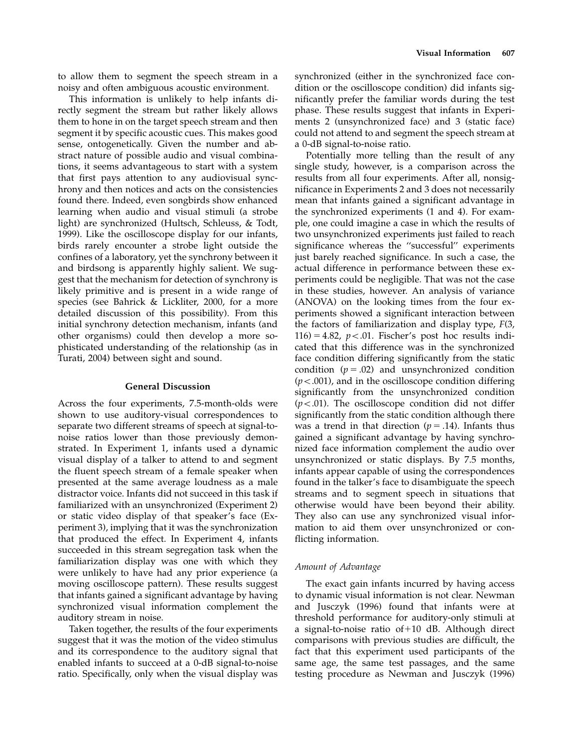to allow them to segment the speech stream in a noisy and often ambiguous acoustic environment.

This information is unlikely to help infants directly segment the stream but rather likely allows them to hone in on the target speech stream and then segment it by specific acoustic cues. This makes good sense, ontogenetically. Given the number and abstract nature of possible audio and visual combinations, it seems advantageous to start with a system that first pays attention to any audiovisual synchrony and then notices and acts on the consistencies found there. Indeed, even songbirds show enhanced learning when audio and visual stimuli (a strobe light) are synchronized (Hultsch, Schleuss, & Todt, 1999). Like the oscilloscope display for our infants, birds rarely encounter a strobe light outside the confines of a laboratory, yet the synchrony between it and birdsong is apparently highly salient. We suggest that the mechanism for detection of synchrony is likely primitive and is present in a wide range of species (see Bahrick & Lickliter, 2000, for a more detailed discussion of this possibility). From this initial synchrony detection mechanism, infants (and other organisms) could then develop a more sophisticated understanding of the relationship (as in Turati, 2004) between sight and sound.

#### General Discussion

Across the four experiments, 7.5-month-olds were shown to use auditory-visual correspondences to separate two different streams of speech at signal-tonoise ratios lower than those previously demonstrated. In Experiment 1, infants used a dynamic visual display of a talker to attend to and segment the fluent speech stream of a female speaker when presented at the same average loudness as a male distractor voice. Infants did not succeed in this task if familiarized with an unsynchronized (Experiment 2) or static video display of that speaker's face (Experiment 3), implying that it was the synchronization that produced the effect. In Experiment 4, infants succeeded in this stream segregation task when the familiarization display was one with which they were unlikely to have had any prior experience (a moving oscilloscope pattern). These results suggest that infants gained a significant advantage by having synchronized visual information complement the auditory stream in noise.

Taken together, the results of the four experiments suggest that it was the motion of the video stimulus and its correspondence to the auditory signal that enabled infants to succeed at a 0-dB signal-to-noise ratio. Specifically, only when the visual display was

synchronized (either in the synchronized face condition or the oscilloscope condition) did infants significantly prefer the familiar words during the test phase. These results suggest that infants in Experiments 2 (unsynchronized face) and 3 (static face) could not attend to and segment the speech stream at a 0-dB signal-to-noise ratio.

Potentially more telling than the result of any single study, however, is a comparison across the results from all four experiments. After all, nonsignificance in Experiments 2 and 3 does not necessarily mean that infants gained a significant advantage in the synchronized experiments (1 and 4). For example, one could imagine a case in which the results of two unsynchronized experiments just failed to reach significance whereas the ''successful'' experiments just barely reached significance. In such a case, the actual difference in performance between these experiments could be negligible. That was not the case in these studies, however. An analysis of variance (ANOVA) on the looking times from the four experiments showed a significant interaction between the factors of familiarization and display type, F(3,  $116$ ) = 4.82,  $p < 01$ . Fischer's post hoc results indicated that this difference was in the synchronized face condition differing significantly from the static condition ( $p = .02$ ) and unsynchronized condition  $(p<.001)$ , and in the oscilloscope condition differing significantly from the unsynchronized condition  $(p<.01)$ . The oscilloscope condition did not differ significantly from the static condition although there was a trend in that direction ( $p = .14$ ). Infants thus gained a significant advantage by having synchronized face information complement the audio over unsynchronized or static displays. By 7.5 months, infants appear capable of using the correspondences found in the talker's face to disambiguate the speech streams and to segment speech in situations that otherwise would have been beyond their ability. They also can use any synchronized visual information to aid them over unsynchronized or conflicting information.

#### Amount of Advantage

The exact gain infants incurred by having access to dynamic visual information is not clear. Newman and Jusczyk (1996) found that infants were at threshold performance for auditory-only stimuli at a signal-to-noise ratio of  $+10$  dB. Although direct comparisons with previous studies are difficult, the fact that this experiment used participants of the same age, the same test passages, and the same testing procedure as Newman and Jusczyk (1996)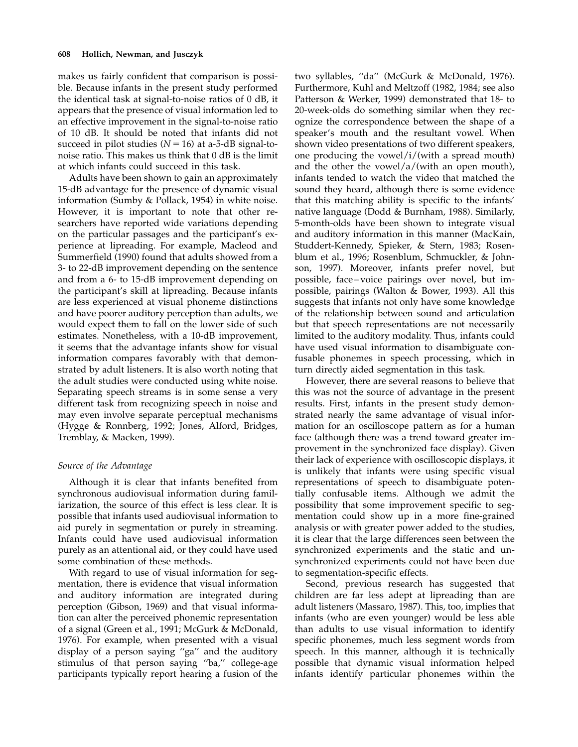makes us fairly confident that comparison is possible. Because infants in the present study performed the identical task at signal-to-noise ratios of 0 dB, it appears that the presence of visual information led to an effective improvement in the signal-to-noise ratio of 10 dB. It should be noted that infants did not succeed in pilot studies ( $N = 16$ ) at a-5-dB signal-tonoise ratio. This makes us think that 0 dB is the limit at which infants could succeed in this task.

Adults have been shown to gain an approximately 15-dB advantage for the presence of dynamic visual information (Sumby & Pollack, 1954) in white noise. However, it is important to note that other researchers have reported wide variations depending on the particular passages and the participant's experience at lipreading. For example, Macleod and Summerfield (1990) found that adults showed from a 3- to 22-dB improvement depending on the sentence and from a 6- to 15-dB improvement depending on the participant's skill at lipreading. Because infants are less experienced at visual phoneme distinctions and have poorer auditory perception than adults, we would expect them to fall on the lower side of such estimates. Nonetheless, with a 10-dB improvement, it seems that the advantage infants show for visual information compares favorably with that demonstrated by adult listeners. It is also worth noting that the adult studies were conducted using white noise. Separating speech streams is in some sense a very different task from recognizing speech in noise and may even involve separate perceptual mechanisms (Hygge & Ronnberg, 1992; Jones, Alford, Bridges, Tremblay, & Macken, 1999).

# Source of the Advantage

Although it is clear that infants benefited from synchronous audiovisual information during familiarization, the source of this effect is less clear. It is possible that infants used audiovisual information to aid purely in segmentation or purely in streaming. Infants could have used audiovisual information purely as an attentional aid, or they could have used some combination of these methods.

With regard to use of visual information for segmentation, there is evidence that visual information and auditory information are integrated during perception (Gibson, 1969) and that visual information can alter the perceived phonemic representation of a signal (Green et al., 1991; McGurk & McDonald, 1976). For example, when presented with a visual display of a person saying ''ga'' and the auditory stimulus of that person saying ''ba,'' college-age participants typically report hearing a fusion of the

two syllables, ''da'' (McGurk & McDonald, 1976). Furthermore, Kuhl and Meltzoff (1982, 1984; see also Patterson & Werker, 1999) demonstrated that 18- to 20-week-olds do something similar when they recognize the correspondence between the shape of a speaker's mouth and the resultant vowel. When shown video presentations of two different speakers, one producing the vowel/i/(with a spread mouth) and the other the vowel/a/(with an open mouth), infants tended to watch the video that matched the sound they heard, although there is some evidence that this matching ability is specific to the infants' native language (Dodd & Burnham, 1988). Similarly, 5-month-olds have been shown to integrate visual and auditory information in this manner (MacKain, Studdert-Kennedy, Spieker, & Stern, 1983; Rosenblum et al., 1996; Rosenblum, Schmuckler, & Johnson, 1997). Moreover, infants prefer novel, but possible, face – voice pairings over novel, but impossible, pairings (Walton & Bower, 1993). All this suggests that infants not only have some knowledge of the relationship between sound and articulation but that speech representations are not necessarily limited to the auditory modality. Thus, infants could have used visual information to disambiguate confusable phonemes in speech processing, which in turn directly aided segmentation in this task.

However, there are several reasons to believe that this was not the source of advantage in the present results. First, infants in the present study demonstrated nearly the same advantage of visual information for an oscilloscope pattern as for a human face (although there was a trend toward greater improvement in the synchronized face display). Given their lack of experience with oscilloscopic displays, it is unlikely that infants were using specific visual representations of speech to disambiguate potentially confusable items. Although we admit the possibility that some improvement specific to segmentation could show up in a more fine-grained analysis or with greater power added to the studies, it is clear that the large differences seen between the synchronized experiments and the static and unsynchronized experiments could not have been due to segmentation-specific effects.

Second, previous research has suggested that children are far less adept at lipreading than are adult listeners (Massaro, 1987). This, too, implies that infants (who are even younger) would be less able than adults to use visual information to identify specific phonemes, much less segment words from speech. In this manner, although it is technically possible that dynamic visual information helped infants identify particular phonemes within the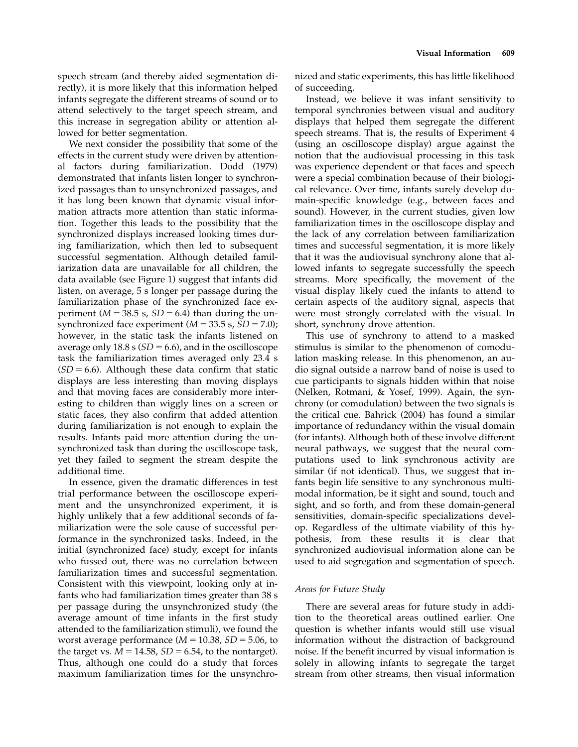speech stream (and thereby aided segmentation directly), it is more likely that this information helped infants segregate the different streams of sound or to attend selectively to the target speech stream, and this increase in segregation ability or attention allowed for better segmentation.

We next consider the possibility that some of the effects in the current study were driven by attentional factors during familiarization. Dodd (1979) demonstrated that infants listen longer to synchronized passages than to unsynchronized passages, and it has long been known that dynamic visual information attracts more attention than static information. Together this leads to the possibility that the synchronized displays increased looking times during familiarization, which then led to subsequent successful segmentation. Although detailed familiarization data are unavailable for all children, the data available (see Figure 1) suggest that infants did listen, on average, 5 s longer per passage during the familiarization phase of the synchronized face experiment ( $M = 38.5$  s,  $SD = 6.4$ ) than during the unsynchronized face experiment  $(M = 33.5 \text{ s}, SD = 7.0)$ ; however, in the static task the infants listened on average only 18.8 s ( $SD = 6.6$ ), and in the oscilloscope task the familiarization times averaged only 23.4 s  $(SD = 6.6)$ . Although these data confirm that static displays are less interesting than moving displays and that moving faces are considerably more interesting to children than wiggly lines on a screen or static faces, they also confirm that added attention during familiarization is not enough to explain the results. Infants paid more attention during the unsynchronized task than during the oscilloscope task, yet they failed to segment the stream despite the additional time.

In essence, given the dramatic differences in test trial performance between the oscilloscope experiment and the unsynchronized experiment, it is highly unlikely that a few additional seconds of familiarization were the sole cause of successful performance in the synchronized tasks. Indeed, in the initial (synchronized face) study, except for infants who fussed out, there was no correlation between familiarization times and successful segmentation. Consistent with this viewpoint, looking only at infants who had familiarization times greater than 38 s per passage during the unsynchronized study (the average amount of time infants in the first study attended to the familiarization stimuli), we found the worst average performance  $(M = 10.38, SD = 5.06, to$ the target vs.  $M = 14.58$ ,  $SD = 6.54$ , to the nontarget). Thus, although one could do a study that forces maximum familiarization times for the unsynchronized and static experiments, this has little likelihood of succeeding.

Instead, we believe it was infant sensitivity to temporal synchronies between visual and auditory displays that helped them segregate the different speech streams. That is, the results of Experiment 4 (using an oscilloscope display) argue against the notion that the audiovisual processing in this task was experience dependent or that faces and speech were a special combination because of their biological relevance. Over time, infants surely develop domain-specific knowledge (e.g., between faces and sound). However, in the current studies, given low familiarization times in the oscilloscope display and the lack of any correlation between familiarization times and successful segmentation, it is more likely that it was the audiovisual synchrony alone that allowed infants to segregate successfully the speech streams. More specifically, the movement of the visual display likely cued the infants to attend to certain aspects of the auditory signal, aspects that were most strongly correlated with the visual. In short, synchrony drove attention.

This use of synchrony to attend to a masked stimulus is similar to the phenomenon of comodulation masking release. In this phenomenon, an audio signal outside a narrow band of noise is used to cue participants to signals hidden within that noise (Nelken, Rotmani, & Yosef, 1999). Again, the synchrony (or comodulation) between the two signals is the critical cue. Bahrick (2004) has found a similar importance of redundancy within the visual domain (for infants). Although both of these involve different neural pathways, we suggest that the neural computations used to link synchronous activity are similar (if not identical). Thus, we suggest that infants begin life sensitive to any synchronous multimodal information, be it sight and sound, touch and sight, and so forth, and from these domain-general sensitivities, domain-specific specializations develop. Regardless of the ultimate viability of this hypothesis, from these results it is clear that synchronized audiovisual information alone can be used to aid segregation and segmentation of speech.

## Areas for Future Study

There are several areas for future study in addition to the theoretical areas outlined earlier. One question is whether infants would still use visual information without the distraction of background noise. If the benefit incurred by visual information is solely in allowing infants to segregate the target stream from other streams, then visual information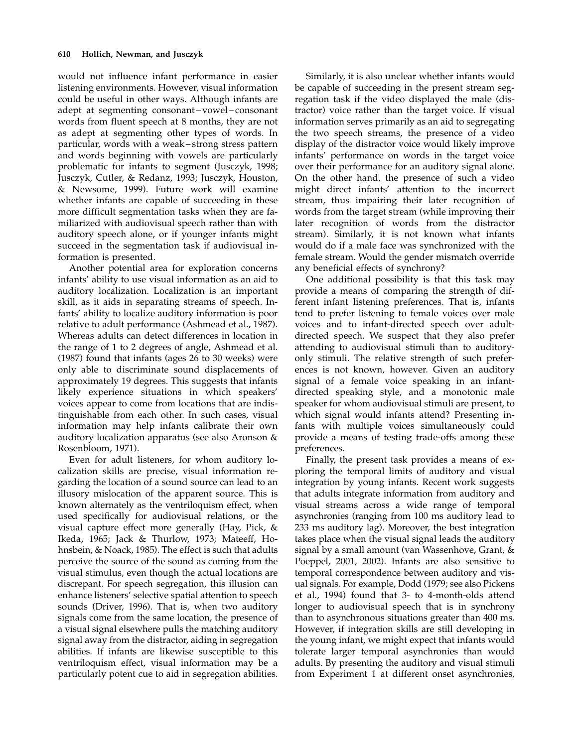would not influence infant performance in easier listening environments. However, visual information could be useful in other ways. Although infants are adept at segmenting consonant – vowel – consonant words from fluent speech at 8 months, they are not as adept at segmenting other types of words. In particular, words with a weak – strong stress pattern and words beginning with vowels are particularly problematic for infants to segment (Jusczyk, 1998; Jusczyk, Cutler, & Redanz, 1993; Jusczyk, Houston, & Newsome, 1999). Future work will examine whether infants are capable of succeeding in these more difficult segmentation tasks when they are familiarized with audiovisual speech rather than with auditory speech alone, or if younger infants might succeed in the segmentation task if audiovisual information is presented.

Another potential area for exploration concerns infants' ability to use visual information as an aid to auditory localization. Localization is an important skill, as it aids in separating streams of speech. Infants' ability to localize auditory information is poor relative to adult performance (Ashmead et al., 1987). Whereas adults can detect differences in location in the range of 1 to 2 degrees of angle, Ashmead et al. (1987) found that infants (ages 26 to 30 weeks) were only able to discriminate sound displacements of approximately 19 degrees. This suggests that infants likely experience situations in which speakers' voices appear to come from locations that are indistinguishable from each other. In such cases, visual information may help infants calibrate their own auditory localization apparatus (see also Aronson & Rosenbloom, 1971).

Even for adult listeners, for whom auditory localization skills are precise, visual information regarding the location of a sound source can lead to an illusory mislocation of the apparent source. This is known alternately as the ventriloquism effect, when used specifically for audiovisual relations, or the visual capture effect more generally (Hay, Pick, & Ikeda, 1965; Jack & Thurlow, 1973; Mateeff, Hohnsbein, & Noack, 1985). The effect is such that adults perceive the source of the sound as coming from the visual stimulus, even though the actual locations are discrepant. For speech segregation, this illusion can enhance listeners' selective spatial attention to speech sounds (Driver, 1996). That is, when two auditory signals come from the same location, the presence of a visual signal elsewhere pulls the matching auditory signal away from the distractor, aiding in segregation abilities. If infants are likewise susceptible to this ventriloquism effect, visual information may be a particularly potent cue to aid in segregation abilities.

Similarly, it is also unclear whether infants would be capable of succeeding in the present stream segregation task if the video displayed the male (distractor) voice rather than the target voice. If visual information serves primarily as an aid to segregating the two speech streams, the presence of a video display of the distractor voice would likely improve infants' performance on words in the target voice over their performance for an auditory signal alone. On the other hand, the presence of such a video might direct infants' attention to the incorrect stream, thus impairing their later recognition of words from the target stream (while improving their later recognition of words from the distractor stream). Similarly, it is not known what infants would do if a male face was synchronized with the female stream. Would the gender mismatch override any beneficial effects of synchrony?

One additional possibility is that this task may provide a means of comparing the strength of different infant listening preferences. That is, infants tend to prefer listening to female voices over male voices and to infant-directed speech over adultdirected speech. We suspect that they also prefer attending to audiovisual stimuli than to auditoryonly stimuli. The relative strength of such preferences is not known, however. Given an auditory signal of a female voice speaking in an infantdirected speaking style, and a monotonic male speaker for whom audiovisual stimuli are present, to which signal would infants attend? Presenting infants with multiple voices simultaneously could provide a means of testing trade-offs among these preferences.

Finally, the present task provides a means of exploring the temporal limits of auditory and visual integration by young infants. Recent work suggests that adults integrate information from auditory and visual streams across a wide range of temporal asynchronies (ranging from 100 ms auditory lead to 233 ms auditory lag). Moreover, the best integration takes place when the visual signal leads the auditory signal by a small amount (van Wassenhove, Grant, & Poeppel, 2001, 2002). Infants are also sensitive to temporal correspondence between auditory and visual signals. For example, Dodd (1979; see also Pickens et al., 1994) found that 3- to 4-month-olds attend longer to audiovisual speech that is in synchrony than to asynchronous situations greater than 400 ms. However, if integration skills are still developing in the young infant, we might expect that infants would tolerate larger temporal asynchronies than would adults. By presenting the auditory and visual stimuli from Experiment 1 at different onset asynchronies,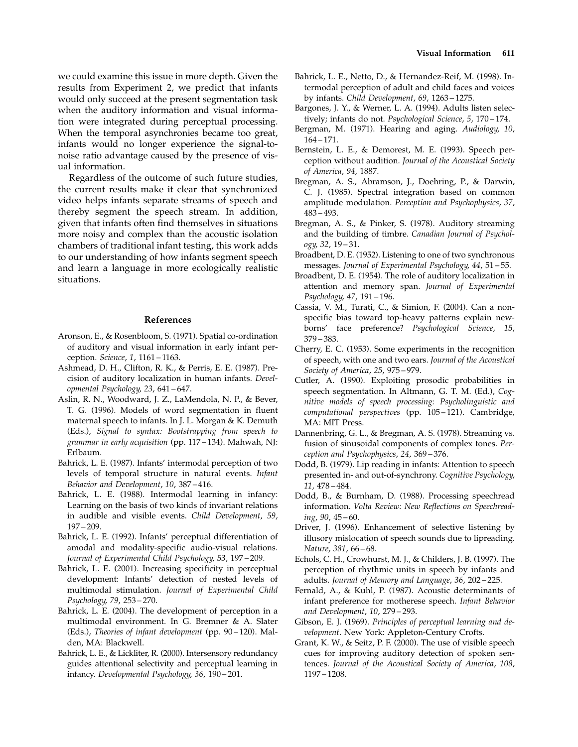we could examine this issue in more depth. Given the results from Experiment 2, we predict that infants would only succeed at the present segmentation task when the auditory information and visual information were integrated during perceptual processing. When the temporal asynchronies became too great, infants would no longer experience the signal-tonoise ratio advantage caused by the presence of visual information.

Regardless of the outcome of such future studies, the current results make it clear that synchronized video helps infants separate streams of speech and thereby segment the speech stream. In addition, given that infants often find themselves in situations more noisy and complex than the acoustic isolation chambers of traditional infant testing, this work adds to our understanding of how infants segment speech and learn a language in more ecologically realistic situations.

#### References

- Aronson, E., & Rosenbloom, S. (1971). Spatial co-ordination of auditory and visual information in early infant perception. Science, 1, 1161 – 1163.
- Ashmead, D. H., Clifton, R. K., & Perris, E. E. (1987). Precision of auditory localization in human infants. Developmental Psychology, 23, 641-647.
- Aslin, R. N., Woodward, J. Z., LaMendola, N. P., & Bever, T. G. (1996). Models of word segmentation in fluent maternal speech to infants. In J. L. Morgan & K. Demuth (Eds.), Signal to syntax: Bootstrapping from speech to grammar in early acquisition (pp. 117 – 134). Mahwah, NJ: Erlbaum.
- Bahrick, L. E. (1987). Infants' intermodal perception of two levels of temporal structure in natural events. Infant Behavior and Development, 10, 387 – 416.
- Bahrick, L. E. (1988). Intermodal learning in infancy: Learning on the basis of two kinds of invariant relations in audible and visible events. Child Development, 59, 197 – 209.
- Bahrick, L. E. (1992). Infants' perceptual differentiation of amodal and modality-specific audio-visual relations. Journal of Experimental Child Psychology, 53, 197 – 209.
- Bahrick, L. E. (2001). Increasing specificity in perceptual development: Infants' detection of nested levels of multimodal stimulation. Journal of Experimental Child Psychology, 79, 253 – 270.
- Bahrick, L. E. (2004). The development of perception in a multimodal environment. In G. Bremner & A. Slater (Eds.), Theories of infant development (pp. 90 – 120). Malden, MA: Blackwell.
- Bahrick, L. E., & Lickliter, R. (2000). Intersensory redundancy guides attentional selectivity and perceptual learning in infancy. Developmental Psychology, 36, 190 – 201.
- Bahrick, L. E., Netto, D., & Hernandez-Reif, M. (1998). Intermodal perception of adult and child faces and voices by infants. Child Development, 69, 1263 – 1275.
- Bargones, J. Y., & Werner, L. A. (1994). Adults listen selectively; infants do not. Psychological Science, 5, 170-174.
- Bergman, M. (1971). Hearing and aging. Audiology, 10, 164 – 171.
- Bernstein, L. E., & Demorest, M. E. (1993). Speech perception without audition. Journal of the Acoustical Society of America, 94, 1887.
- Bregman, A. S., Abramson, J., Doehring, P., & Darwin, C. J. (1985). Spectral integration based on common amplitude modulation. Perception and Psychophysics, 37, 483 – 493.
- Bregman, A. S., & Pinker, S. (1978). Auditory streaming and the building of timbre. Canadian Journal of Psychology, 32, 19 – 31.
- Broadbent, D. E. (1952). Listening to one of two synchronous messages. Journal of Experimental Psychology, 44, 51 – 55.
- Broadbent, D. E. (1954). The role of auditory localization in attention and memory span. Journal of Experimental Psychology, 47, 191 – 196.
- Cassia, V. M., Turati, C., & Simion, F. (2004). Can a nonspecific bias toward top-heavy patterns explain newborns' face preference? Psychological Science, 15, 379 – 383.
- Cherry, E. C. (1953). Some experiments in the recognition of speech, with one and two ears. Journal of the Acoustical Society of America, 25, 975 – 979.
- Cutler, A. (1990). Exploiting prosodic probabilities in speech segmentation. In Altmann, G. T. M. (Ed.), Cognitive models of speech processing: Psycholinguistic and computational perspectives (pp. 105-121). Cambridge, MA: MIT Press.
- Dannenbring, G. L., & Bregman, A. S. (1978). Streaming vs. fusion of sinusoidal components of complex tones. Perception and Psychophysics, 24, 369 – 376.
- Dodd, B. (1979). Lip reading in infants: Attention to speech presented in- and out-of-synchrony. Cognitive Psychology, 11, 478 – 484.
- Dodd, B., & Burnham, D. (1988). Processing speechread information. Volta Review: New Reflections on Speechreading, 90, 45 – 60.
- Driver, J. (1996). Enhancement of selective listening by illusory mislocation of speech sounds due to lipreading. Nature, 381, 66 – 68.
- Echols, C. H., Crowhurst, M. J., & Childers, J. B. (1997). The perception of rhythmic units in speech by infants and adults. Journal of Memory and Language, 36, 202 – 225.
- Fernald, A., & Kuhl, P. (1987). Acoustic determinants of infant preference for motherese speech. Infant Behavior and Development, 10, 279 – 293.
- Gibson, E. J. (1969). Principles of perceptual learning and development. New York: Appleton-Century Crofts.
- Grant, K. W., & Seitz, P. F. (2000). The use of visible speech cues for improving auditory detection of spoken sentences. Journal of the Acoustical Society of America, 108, 1197 – 1208.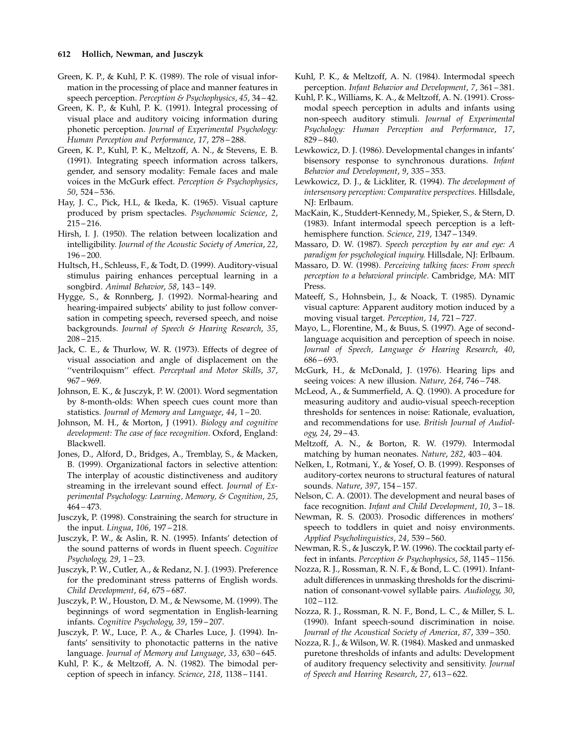#### 612 Hollich, Newman, and Jusczyk

- Green, K. P., & Kuhl, P. K. (1989). The role of visual information in the processing of place and manner features in speech perception. Perception & Psychophysics, 45, 34 – 42.
- Green, K. P., & Kuhl, P. K. (1991). Integral processing of visual place and auditory voicing information during phonetic perception. Journal of Experimental Psychology: Human Perception and Performance, 17, 278 – 288.
- Green, K. P., Kuhl, P. K., Meltzoff, A. N., & Stevens, E. B. (1991). Integrating speech information across talkers, gender, and sensory modality: Female faces and male voices in the McGurk effect. Perception & Psychophysics, 50, 524 – 536.
- Hay, J. C., Pick, H.L, & Ikeda, K. (1965). Visual capture produced by prism spectacles. Psychonomic Science, 2,  $215 - 216$ .
- Hirsh, I. J. (1950). The relation between localization and intelligibility. Journal of the Acoustic Society of America, 22, 196 – 200.
- Hultsch, H., Schleuss, F., & Todt, D. (1999). Auditory-visual stimulus pairing enhances perceptual learning in a songbird. Animal Behavior, 58, 143 – 149.
- Hygge, S., & Ronnberg, J. (1992). Normal-hearing and hearing-impaired subjects' ability to just follow conversation in competing speech, reversed speech, and noise backgrounds. Journal of Speech & Hearing Research, 35,  $208 - 215.$
- Jack, C. E., & Thurlow, W. R. (1973). Effects of degree of visual association and angle of displacement on the ''ventriloquism'' effect. Perceptual and Motor Skills, 37, 967 – 969.
- Johnson, E. K., & Jusczyk, P. W. (2001). Word segmentation by 8-month-olds: When speech cues count more than statistics. Journal of Memory and Language, 44, 1 – 20.
- Johnson, M. H., & Morton, J (1991). Biology and cognitive development: The case of face recognition. Oxford, England: Blackwell.
- Jones, D., Alford, D., Bridges, A., Tremblay, S., & Macken, B. (1999). Organizational factors in selective attention: The interplay of acoustic distinctiveness and auditory streaming in the irrelevant sound effect. Journal of Experimental Psychology: Learning, Memory, & Cognition, 25, 464 – 473.
- Jusczyk, P. (1998). Constraining the search for structure in the input. Lingua, 106, 197 – 218.
- Jusczyk, P. W., & Aslin, R. N. (1995). Infants' detection of the sound patterns of words in fluent speech. Cognitive Psychology, 29, 1 – 23.
- Jusczyk, P. W., Cutler, A., & Redanz, N. J. (1993). Preference for the predominant stress patterns of English words. Child Development, 64, 675-687.
- Jusczyk, P. W., Houston, D. M., & Newsome, M. (1999). The beginnings of word segmentation in English-learning infants. Cognitive Psychology, 39, 159 – 207.
- Jusczyk, P. W., Luce, P. A., & Charles Luce, J. (1994). Infants' sensitivity to phonotactic patterns in the native language. Journal of Memory and Language, 33, 630-645.
- Kuhl, P. K., & Meltzoff, A. N. (1982). The bimodal perception of speech in infancy. Science, 218, 1138 – 1141.
- Kuhl, P. K., & Meltzoff, A. N. (1984). Intermodal speech perception. Infant Behavior and Development, 7, 361 – 381.
- Kuhl, P. K., Williams, K. A., & Meltzoff, A. N. (1991). Crossmodal speech perception in adults and infants using non-speech auditory stimuli. Journal of Experimental Psychology: Human Perception and Performance, 17, 829 – 840.
- Lewkowicz, D. J. (1986). Developmental changes in infants' bisensory response to synchronous durations. Infant Behavior and Development, 9, 335 – 353.
- Lewkowicz, D. J., & Lickliter, R. (1994). The development of intersensory perception: Comparative perspectives. Hillsdale, NJ: Erlbaum.
- MacKain, K., Studdert-Kennedy, M., Spieker, S., & Stern, D. (1983). Infant intermodal speech perception is a lefthemisphere function. Science, 219, 1347-1349.
- Massaro, D. W. (1987). Speech perception by ear and eye: A paradigm for psychological inquiry. Hillsdale, NJ: Erlbaum.
- Massaro, D. W. (1998). Perceiving talking faces: From speech perception to a behavioral principle. Cambridge, MA: MIT Press.
- Mateeff, S., Hohnsbein, J., & Noack, T. (1985). Dynamic visual capture: Apparent auditory motion induced by a moving visual target. Perception, 14, 721 – 727.
- Mayo, L., Florentine, M., & Buus, S. (1997). Age of secondlanguage acquisition and perception of speech in noise. Journal of Speech, Language & Hearing Research, 40, 686 – 693.
- McGurk, H., & McDonald, J. (1976). Hearing lips and seeing voices: A new illusion. Nature, 264, 746-748.
- McLeod, A., & Summerfield, A. Q. (1990). A procedure for measuring auditory and audio-visual speech-reception thresholds for sentences in noise: Rationale, evaluation, and recommendations for use. British Journal of Audiology, 24, 29 – 43.
- Meltzoff, A. N., & Borton, R. W. (1979). Intermodal matching by human neonates. Nature, 282, 403 – 404.
- Nelken, I., Rotmani, Y., & Yosef, O. B. (1999). Responses of auditory-cortex neurons to structural features of natural sounds. Nature, 397, 154 – 157.
- Nelson, C. A. (2001). The development and neural bases of face recognition. Infant and Child Development, 10, 3 – 18.
- Newman, R. S. (2003). Prosodic differences in mothers' speech to toddlers in quiet and noisy environments. Applied Psycholinguistics, 24, 539 – 560.
- Newman, R. S., & Jusczyk, P. W. (1996). The cocktail party effect in infants. Perception & Psychophysics, 58, 1145 – 1156.
- Nozza, R. J., Rossman, R. N. F., & Bond, L. C. (1991). Infantadult differences in unmasking thresholds for the discrimination of consonant-vowel syllable pairs. Audiology, 30, 102 – 112.
- Nozza, R. J., Rossman, R. N. F., Bond, L. C., & Miller, S. L. (1990). Infant speech-sound discrimination in noise. Journal of the Acoustical Society of America, 87, 339 – 350.
- Nozza, R. J., & Wilson, W. R. (1984). Masked and unmasked puretone thresholds of infants and adults: Development of auditory frequency selectivity and sensitivity. Journal of Speech and Hearing Research, 27, 613 – 622.